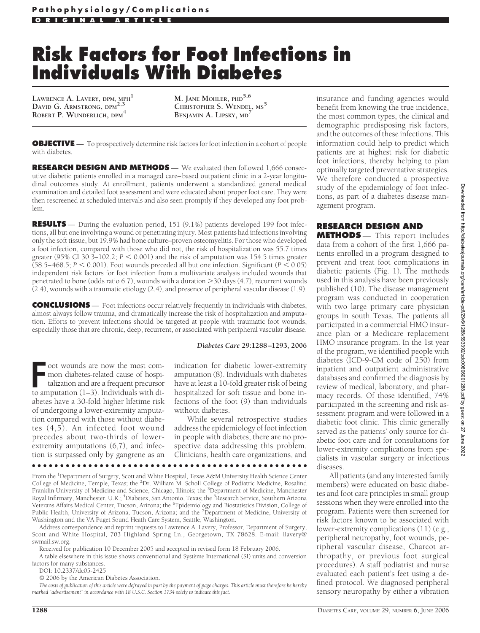# **Risk Factors for Foot Infections in Individuals With Diabetes**

**LAWRENCE A. LAVERY, DPM, MPH<sup>1</sup> DAVID G. ARMSTRONG, DPM2,3 ROBERT P. WUNDERLICH, DPM<sup>4</sup>**

**M. JANE MOHLER, PHD5,6 CHRISTOPHER S. WENDEL, MS<sup>5</sup> BENJAMIN A. LIPSKY, MD<sup>7</sup>**

**OBJECTIVE** — To prospectively determine risk factors for foot infection in a cohort of people with diabetes.

**RESEARCH DESIGN AND METHODS** — We evaluated then followed 1,666 consecutive diabetic patients enrolled in a managed care–based outpatient clinic in a 2-year longitudinal outcomes study. At enrollment, patients underwent a standardized general medical examination and detailed foot assessment and were educated about proper foot care. They were then rescreened at scheduled intervals and also seen promptly if they developed any foot problem.

**RESULTS** — During the evaluation period, 151 (9.1%) patients developed 199 foot infections, all but one involving a wound or penetrating injury. Most patients had infections involving only the soft tissue, but 19.9% had bone culture–proven osteomyelitis. For those who developed a foot infection, compared with those who did not, the risk of hospitalization was 55.7 times greater (95% CI 30.3-102.2;  $P < 0.001$ ) and the risk of amputation was 154.5 times greater (58.5–468.5;  $P \le 0.001$ ). Foot wounds preceded all but one infection. Significant ( $P \le 0.05$ ) independent risk factors for foot infection from a multivariate analysis included wounds that penetrated to bone (odds ratio 6.7), wounds with a duration > 30 days (4.7), recurrent wounds (2.4), wounds with a traumatic etiology (2.4), and presence of peripheral vascular disease (1.9).

**CONCLUSIONS** — Foot infections occur relatively frequently in individuals with diabetes, almost always follow trauma, and dramatically increase the risk of hospitalization and amputation. Efforts to prevent infections should be targeted at people with traumatic foot wounds, especially those that are chronic, deep, recurrent, or associated with peripheral vascular disease.

#### *Diabetes Care* **29:1288 –1293, 2006**

Front wounds are now the most com-<br>
mon diabetes-related cause of hospi-<br>
talization and are a frequent precursor<br>
to amputation (1–3). Individuals with dioot wounds are now the most common diabetes-related cause of hospitalization and are a frequent precursor abetes have a 30-fold higher lifetime risk of undergoing a lower-extremity amputation compared with those without diabetes (4,5). An infected foot wound precedes about two-thirds of lowerextremity amputations (6,7), and infection is surpassed only by gangrene as an

indication for diabetic lower-extremity amputation (8). Individuals with diabetes have at least a 10-fold greater risk of being hospitalized for soft tissue and bone infections of the foot (9) than individuals without diabetes.

While several retrospective studies address the epidemiology of foot infection in people with diabetes, there are no prospective data addressing this problem. Clinicians, health care organizations, and

From the <sup>1</sup>Department of Surgery, Scott and White Hospital, Texas A&M University Health Science Center College of Medicine, Temple, Texas; the <sup>2</sup>Dr. William M. Scholl College of Podiatric Medicine, Rosalind Franklin University of Medicine and Science, Chicago, Illinois; the <sup>3</sup>Department of Medicine, Manchester Royal Infirmary, Manchester, U.K.; <sup>4</sup>Diabetex, San Antonio, Texas; the <sup>5</sup>Research Service, Southern Arizona Veterans Affairs Medical Center, Tucson, Arizona; the <sup>6</sup>Epidemiology and Biostatistics Division, College of Public Health, University of Arizona, Tucson, Arizona; and the <sup>7</sup>Department of Medicine, University of Washington and the VA Puget Sound Heath Care System, Seattle, Washington.

●●●●●●●●●●●●●●●●●●●●●●●●●●●●●●●●●●●●●●●●●●●●●●●●●

Address correspondence and reprint requests to Lawrence A. Lavery, Professor, Department of Surgery, Scott and White Hospital, 703 Highland Spring Ln., Georgetown, TX 78628. E-mail: llavery@ swmail.sw.org.

Received for publication 10 December 2005 and accepted in revised form 18 February 2006.

A table elsewhere in this issue shows conventional and Système International (SI) units and conversion factors for many substances.

DOI: 10.2337/dc05-2425

© 2006 by the American Diabetes Association.

*The costs of publication of this article were defrayed in part by the payment of page charges. This article must therefore be hereby marked "advertisement" in accordance with 18 U.S.C. Section 1734 solely to indicate this fact.*

insurance and funding agencies would benefit from knowing the true incidence, the most common types, the clinical and demographic predisposing risk factors, and the outcomes of these infections. This information could help to predict which patients are at highest risk for diabetic foot infections, thereby helping to plan optimally targeted preventative strategies. We therefore conducted a prospective study of the epidemiology of foot infections, as part of a diabetes disease management program.

### **RESEARCH DESIGN AND**

**METHODS** — This report includes data from a cohort of the first 1,666 patients enrolled in a program designed to prevent and treat foot complications in diabetic patients (Fig. 1). The methods used in this analysis have been previously published (10). The disease management program was conducted in cooperation with two large primary care physician groups in south Texas. The patients all participated in a commercial HMO insurance plan or a Medicare replacement HMO insurance program. In the 1st year of the program, we identified people with diabetes (ICD-9-CM code of 250) from inpatient and outpatient administrative databases and confirmed the diagnosis by review of medical, laboratory, and pharmacy records. Of those identified, 74% participated in the screening and risk assessment program and were followed in a diabetic foot clinic. This clinic generally served as the patients' only source for diabetic foot care and for consultations for lower-extremity complications from specialists in vascular surgery or infectious diseases.

All patients (and any interested family members) were educated on basic diabetes and foot care principles in small group sessions when they were enrolled into the program. Patients were then screened for risk factors known to be associated with lower-extremity complications (11) (e.g., peripheral neuropathy, foot wounds, peripheral vascular disease, Charcot arthropathy, or previous foot surgical procedures). A staff podiatrist and nurse evaluated each patient's feet using a defined protocol. We diagnosed peripheral sensory neuropathy by either a vibration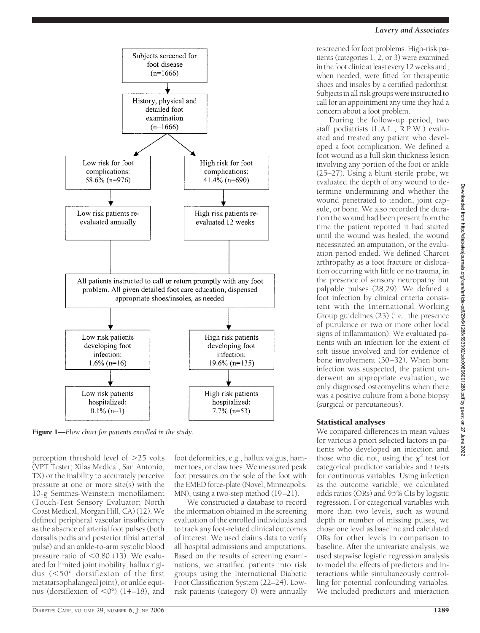## *Lavery and Associates*



During the follow-up period, two staff podiatrists (L.A.L., R.P.W.) evaluated and treated any patient who developed a foot complication. We defined a foot wound as a full skin thickness lesion involving any portion of the foot or ankle (25–27). Using a blunt sterile probe, we evaluated the depth of any wound to determine undermining and whether the wound penetrated to tendon, joint capsule, or bone. We also recorded the duration the wound had been present from the time the patient reported it had started until the wound was healed, the wound necessitated an amputation, or the evaluation period ended. We defined Charcot arthropathy as a foot fracture or dislocation occurring with little or no trauma, in the presence of sensory neuropathy but palpable pulses (28,29). We defined a foot infection by clinical criteria consistent with the International Working Group guidelines (23) (i.e., the presence of purulence or two or more other local signs of inflammation). We evaluated patients with an infection for the extent of soft tissue involved and for evidence of bone involvement (30–32). When bone infection was suspected, the patient underwent an appropriate evaluation; we only diagnosed osteomyelitis when there was a positive culture from a bone biopsy (surgical or percutaneous).

#### Statistical analyses

We compared differences in mean values for various a` priori selected factors in patients who developed an infection and those who did not, using the  $\chi^2$  test for categorical predictor variables and *t* tests for continuous variables. Using infection as the outcome variable, we calculated odds ratios (ORs) and 95% CIs by logistic regression. For categorical variables with more than two levels, such as wound depth or number of missing pulses, we chose one level as baseline and calculated ORs for other levels in comparison to baseline. After the univariate analysis, we used stepwise logistic regression analysis to model the effects of predictors and interactions while simultaneously controlling for potential confounding variables. We included predictors and interaction



Figure 1—*Flow chart for patients enrolled in the study.*

perception threshold level of  $>$ 25 volts (VPT Tester; Xilas Medical, San Antonio, TX) or the inability to accurately perceive pressure at one or more site(s) with the 10-g Semmes-Weinstein monofilament (Touch-Test Sensory Evaluator; North Coast Medical, Morgan Hill, CA) (12). We defined peripheral vascular insufficiency as the absence of arterial foot pulses (both dorsalis pedis and posterior tibial arterial pulse) and an ankle-to-arm systolic blood pressure ratio of  $\leq 0.80$  (13). We evaluated for limited joint mobility, hallux rigidus (50° dorsiflexion of the first metatarsophalangeal joint), or ankle equinus (dorsiflexion of  $\langle 0^\circ \rangle$  (14–18), and

foot deformities, e.g., hallux valgus, hammer toes, or claw toes. We measured peak foot pressures on the sole of the foot with the EMED force-plate (Novel, Minneapolis, MN), using a two-step method (19–21).

We constructed a database to record the information obtained in the screening evaluation of the enrolled individuals and to track any foot-related clinical outcomes of interest. We used claims data to verify all hospital admissions and amputations. Based on the results of screening examinations, we stratified patients into risk groups using the International Diabetic Foot Classification System (22–24). Lowrisk patients (category 0) were annually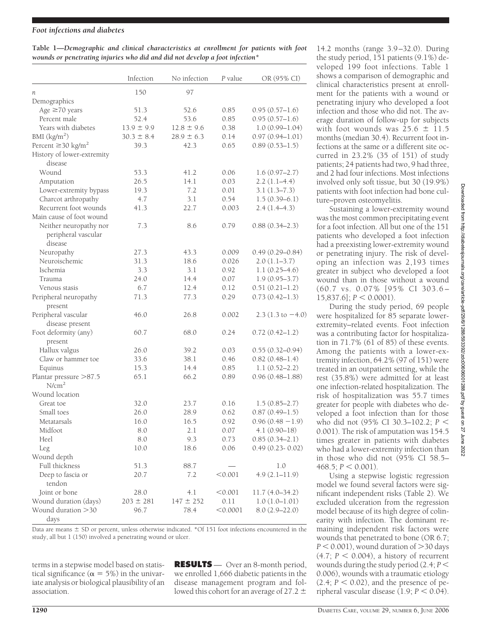#### *Foot infections and diabetes*

|                                                                              | Table 1—Demographic and clinical characteristics at enrollment for patients with foot |  |  |  |  |  |  |  |  |  |
|------------------------------------------------------------------------------|---------------------------------------------------------------------------------------|--|--|--|--|--|--|--|--|--|
| wounds or penetrating injuries who did and did not develop a foot infection* |                                                                                       |  |  |  |  |  |  |  |  |  |

|                                     | Infection      | No infection   | P value  | OR (95% CI)                 |
|-------------------------------------|----------------|----------------|----------|-----------------------------|
| n                                   | 150            | 97             |          |                             |
| Demographics                        |                |                |          |                             |
| Age $\geq$ 70 years                 | 51.3           | 52.6           | 0.85     | $0.95(0.57-1.6)$            |
| Percent male                        | 52.4           | 53.6           | 0.85     | $0.95(0.57-1.6)$            |
| Years with diabetes                 | $13.9 \pm 9.9$ | $12.8 \pm 9.6$ | 0.38     | $1.0(0.99 - 1.04)$          |
| BMI $(kg/m2)$                       | $30.3 \pm 8.4$ | $28.9 \pm 6.3$ | 0.14     | $0.97(0.94 - 1.01)$         |
| Percent $\geq$ 30 kg/m <sup>2</sup> | 39.3           | 42.3           | 0.65     | $0.89(0.53 - 1.5)$          |
| History of lower-extremity          |                |                |          |                             |
| disease                             |                |                |          |                             |
| Wound                               | 53.3           | 41.2           | 0.06     | $1.6(0.97-2.7)$             |
| Amputation                          | 26.5           | 14.1           | 0.03     | $2.2(1.1-4.4)$              |
| Lower-extremity bypass              | 19.3           | 7.2            | 0.01     | $3.1(1.3-7.3)$              |
| Charcot arthropathy                 | 4.7            | 3.1            | 0.54     | $1.5(0.39-6.1)$             |
| Recurrent foot wounds               | 41.3           | 22.7           | 0.003    | $2.4(1.4-4.3)$              |
| Main cause of foot wound            |                |                |          |                             |
| Neither neuropathy nor              | 7.3            | 8.6            | 0.79     | $0.88(0.34 - 2.3)$          |
| peripheral vascular                 |                |                |          |                             |
| disease                             |                |                |          |                             |
| Neuropathy                          | 27.3           | 43.3           | 0.009    | $0.49(0.29 - 0.84)$         |
| Neuroischemic                       | 31.3           | 18.6           | 0.026    | $2.0(1.1-3.7)$              |
| Ischemia                            | 3.3            | 3.1            | 0.92     | $1.1(0.25-4.6)$             |
| Trauma                              | 24.0           | 14.4           | 0.07     | $1.9(0.95 - 3.7)$           |
| Venous stasis                       | 6.7            | 12.4           | 0.12     | $0.51(0.21-1.2)$            |
| Peripheral neuropathy               | 71.3           | 77.3           | 0.29     | $0.73(0.42 - 1.3)$          |
| present                             |                |                |          |                             |
| Peripheral vascular                 | 46.0           | 26.8           | 0.002    | $2.3(1.3 \text{ to } -4.0)$ |
| disease present                     |                |                |          |                             |
| Foot deformity (any)                | 60.7           | 68.0           | 0.24     | $0.72(0.42 - 1.2)$          |
| present                             |                |                |          |                             |
| Hallux valgus                       | 26.0           | 39.2           | 0.03     | $0.55(0.32 - 0.94)$         |
| Claw or hammer toe                  | 33.6           | 38.1           | 0.46     | $0.82(0.48-1.4)$            |
| Equinus                             | 15.3           | 14.4           | 0.85     | $1.1(0.52 - 2.2)$           |
| Plantar pressure >87.5              | 65.1           | 66.2           | 0.89     | $0.96(0.48 - 1.88)$         |
| N/cm <sup>2</sup>                   |                |                |          |                             |
| Wound location                      |                |                |          |                             |
| Great toe                           | 32.0           | 23.7           | 0.16     | $1.5(0.85-2.7)$             |
| Small toes                          | 26.0           | 28.9           | 0.62     | $0.87(0.49 - 1.5)$          |
| Metatarsals                         | 16.0           | 16.5           | 0.92     | $0.96(0.48 - 1.9)$          |
| Midfoot                             | 8.0            | 2.1            | 0.07     | $4.1(0.90 - 18)$            |
| Heel                                | 8.0            | 9.3            | 0.73     | $0.85(0.34 - 2.1)$          |
| Leg                                 | 10.0           | 18.6           | 0.06     | $0.49(0.23 - 0.02)$         |
| Wound depth                         |                |                |          |                             |
| Full thickness                      | 51.3           | 88.7           |          | 1.0                         |
| Deep to fascia or                   | 20.7           | 7.2            | < 0.001  | $4.9(2.1 - 11.9)$           |
| tendon                              |                |                |          |                             |
| Joint or bone                       | 28.0           | 4.1            | < 0.001  | $11.7(4.0-34.2)$            |
| Wound duration (days)               | $203 \pm 281$  | $147 \pm 252$  | 0.11     | $1.0(1.0-1.01)$             |
| Wound duration >30<br>days          | 96.7           | 78.4           | < 0.0001 | $8.0(2.9 - 22.0)$           |

Data are means  $\pm$  SD or percent, unless otherwise indicated. \*Of 151 foot infections encountered in the study, all but 1 (150) involved a penetrating wound or ulcer.

terms in a stepwise model based on statistical significance ( $\alpha = 5\%$ ) in the univariate analysis or biological plausibility of an association.

**RESULTS** — Over an 8-month period, we enrolled 1,666 diabetic patients in the disease management program and followed this cohort for an average of 27.2  $\pm$ 

14.2 months (range 3.9–32.0). During the study period, 151 patients (9.1%) developed 199 foot infections. Table 1 shows a comparison of demographic and clinical characteristics present at enrollment for the patients with a wound or penetrating injury who developed a foot infection and those who did not. The average duration of follow-up for subjects with foot wounds was  $25.6 \pm 11.5$ months (median 30.4). Recurrent foot infections at the same or a different site occurred in 23.2% (35 of 151) of study patients; 24 patients had two, 9 had three, and 2 had four infections. Most infections involved only soft tissue, but 30 (19.9%) patients with foot infection had bone culture–proven osteomyelitis.

Sustaining a lower-extremity wound was the most common precipitating event for a foot infection. All but one of the 151 patients who developed a foot infection had a preexisting lower-extremity wound or penetrating injury. The risk of developing an infection was 2,193 times greater in subject who developed a foot wound than in those without a wound (60.7 vs. 0.07% [95% CI 303.6–  $15,837.6$ ;  $P < 0.0001$ ).

During the study period, 69 people were hospitalized for 85 separate lowerextremity–related events. Foot infection was a contributing factor for hospitalization in 71.7% (61 of 85) of these events. Among the patients with a lower-extremity infection, 64.2% (97 of 151) were treated in an outpatient setting, while the rest (35.8%) were admitted for at least one infection-related hospitalization. The risk of hospitalization was 55.7 times greater for people with diabetes who developed a foot infection than for those who did not (95% CI 30.3–102.2; *P* 0.001). The risk of amputation was 154.5 times greater in patients with diabetes who had a lower-extremity infection than in those who did not (95% CI 58.5–  $468.5; P < 0.001$ ).

Using a stepwise logistic regression model we found several factors were significant independent risks (Table 2). We excluded ulceration from the regression model because of its high degree of colinearity with infection. The dominant remaining independent risk factors were wounds that penetrated to bone (OR 6.7;  $P < 0.001$ ), wound duration of  $>$ 30 days  $(4.7; P < 0.004)$ , a history of recurrent wounds during the study period (2.4; *P* 0.006), wounds with a traumatic etiology  $(2.4; P < 0.02)$ , and the presence of peripheral vascular disease  $(1.9; P < 0.04)$ .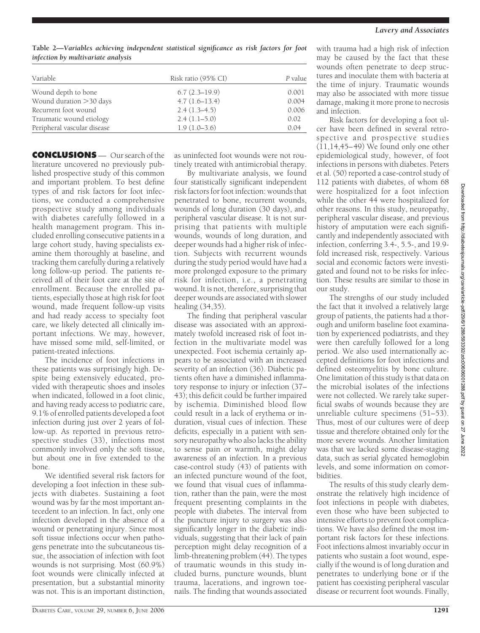**Table 2—***Variables achieving independent statistical significance as risk factors for foot infection by multivariate analysis*

| Variable                    | Risk ratio (95% CI) | P value |
|-----------------------------|---------------------|---------|
| Wound depth to bone         | $6.7(2.3-19.9)$     | 0.001   |
| Wound duration > 30 days    | $4.7(1.6-13.4)$     | 0.004   |
| Recurrent foot wound        | $2.4(1.3-4.5)$      | 0.006   |
| Traumatic wound etiology    | $2.4(1.1-5.0)$      | 0.02    |
| Peripheral vascular disease | $1.9(1.0-3.6)$      | 0.04    |

**CONCLUSIONS** — Our search of the literature uncovered no previously published prospective study of this common and important problem. To best define types of and risk factors for foot infections, we conducted a comprehensive prospective study among individuals with diabetes carefully followed in a health management program. This included enrolling consecutive patients in a large cohort study, having specialists examine them thoroughly at baseline, and tracking them carefully during a relatively long follow-up period. The patients received all of their foot care at the site of enrollment. Because the enrolled patients, especially those at high risk for foot wound, made frequent follow-up visits and had ready access to specialty foot care, we likely detected all clinically important infections. We may, however, have missed some mild, self-limited, or patient-treated infections.

The incidence of foot infections in these patients was surprisingly high. Despite being extensively educated, provided with therapeutic shoes and insoles when indicated, followed in a foot clinic, and having ready access to podiatric care, 9.1% of enrolled patients developed a foot infection during just over 2 years of follow-up. As reported in previous retrospective studies (33), infections most commonly involved only the soft tissue, but about one in five extended to the bone.

We identified several risk factors for developing a foot infection in these subjects with diabetes. Sustaining a foot wound was by far the most important antecedent to an infection. In fact, only one infection developed in the absence of a wound or penetrating injury. Since most soft tissue infections occur when pathogens penetrate into the subcutaneous tissue, the association of infection with foot wounds is not surprising. Most (60.9%) foot wounds were clinically infected at presentation, but a substantial minority was not. This is an important distinction,

as uninfected foot wounds were not routinely treated with antimicrobial therapy.

By multivariate analysis, we found four statistically significant independent risk factors for foot infection: wounds that penetrated to bone, recurrent wounds, wounds of long duration (30 days), and peripheral vascular disease. It is not surprising that patients with multiple wounds, wounds of long duration, and deeper wounds had a higher risk of infection. Subjects with recurrent wounds during the study period would have had a more prolonged exposure to the primary risk for infection, i.e., a penetrating wound. It is not, therefore, surprising that deeper wounds are associated with slower healing (34,35).

The finding that peripheral vascular disease was associated with an approximately twofold increased risk of foot infection in the multivariate model was unexpected. Foot ischemia certainly appears to be associated with an increased severity of an infection (36). Diabetic patients often have a diminished inflammatory response to injury or infection (37– 43); this deficit could be further impaired by ischemia. Diminished blood flow could result in a lack of erythema or induration, visual cues of infection. These deficits, especially in a patient with sensory neuropathy who also lacks the ability to sense pain or warmth, might delay awareness of an infection. In a previous case-control study (43) of patients with an infected puncture wound of the foot, we found that visual cues of inflammation, rather than the pain, were the most frequent presenting complaints in the people with diabetes. The interval from the puncture injury to surgery was also significantly longer in the diabetic individuals, suggesting that their lack of pain perception might delay recognition of a limb-threatening problem (44). The types of traumatic wounds in this study included burns, puncture wounds, blunt trauma, lacerations, and ingrown toenails. The finding that wounds associated

with trauma had a high risk of infection may be caused by the fact that these wounds often penetrate to deep structures and inoculate them with bacteria at the time of injury. Traumatic wounds may also be associated with more tissue damage, making it more prone to necrosis and infection.

Risk factors for developing a foot ulcer have been defined in several retrospective and prospective studies  $(11,14,45-49)$  We found only one other epidemiological study, however, of foot infections in persons with diabetes. Peters et al. (50) reported a case-control study of 112 patients with diabetes, of whom 68 were hospitalized for a foot infection while the other 44 were hospitalized for other reasons. In this study, neuropathy, peripheral vascular disease, and previous history of amputation were each significantly and independently associated with infection, conferring 3.4-, 5.5-, and 19.9 fold increased risk, respectively. Various social and economic factors were investigated and found not to be risks for infection. These results are similar to those in our study.

The strengths of our study included the fact that it involved a relatively large group of patients, the patients had a thorough and uniform baseline foot examination by experienced podiatrists, and they were then carefully followed for a long period. We also used internationally accepted definitions for foot infections and defined osteomyelitis by bone culture. One limitation of this study is that data on the microbial isolates of the infections were not collected. We rarely take superficial swabs of wounds because they are unreliable culture specimens (51–53). Thus, most of our cultures were of deep tissue and therefore obtained only for the more severe wounds. Another limitation was that we lacked some disease-staging data, such as serial glycated hemoglobin levels, and some information on comorbidities.

The results of this study clearly demonstrate the relatively high incidence of foot infections in people with diabetes, even those who have been subjected to intensive efforts to prevent foot complications. We have also defined the most important risk factors for these infections. Foot infections almost invariably occur in patients who sustain a foot wound, especially if the wound is of long duration and penetrates to underlying bone or if the patient has coexisting peripheral vascular disease or recurrent foot wounds. Finally,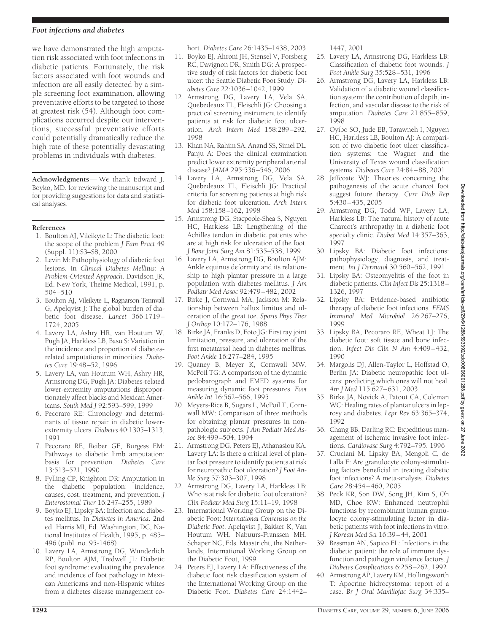#### *Foot infections and diabetes*

we have demonstrated the high amputation risk associated with foot infections in diabetic patients. Fortunately, the risk factors associated with foot wounds and infection are all easily detected by a simple screening foot examination, allowing preventative efforts to be targeted to those at greatest risk (54). Although foot complications occurred despite our interventions, successful preventative efforts could potentially dramatically reduce the high rate of these potentially devastating problems in individuals with diabetes.

**Acknowledgments**— We thank Edward J. Boyko, MD, for reviewing the manuscript and for providing suggestions for data and statistical analyses.

#### **References**

- 1. Boulton AJ, Vileikyte L: The diabetic foot: the scope of the problem *J Fam Pract* 49 (Suppl. 11):S3–S8, 2000
- 2. Levin M: Pathophysiology of diabetic foot lesions. In *Clinical Diabetes Mellitus: A Problem-Oriented Approach*. Davidson JK, Ed. New York, Theime Medical, 1991, p. 504–510
- 3. Boulton AJ, Vileikyte L, Ragnarson-Tennvall G, Apelqvist J: The global burden of diabetic foot disease. *Lancet* 366:1719– 1724, 2005
- 4. Lavery LA, Ashry HR, van Houtum W, Pugh JA, Harkless LB, Basu S: Variation in the incidence and proportion of diabetesrelated amputations in minorities. *Diabetes Care* 19:48–52, 1996
- 5. Lavery LA, van Houtum WH, Ashry HR, Armstrong DG, Pugh JA: Diabetes-related lower-extremity amputations disproportionately affect blacks and Mexican Americans. *South Med J* 92:593–599, 1999
- 6. Pecoraro RE: Chronology and determinants of tissue repair in diabetic lowerextremity ulcers. *Diabetes* 40:1305–1313, 1991
- 7. Pecoraro RE, Reiber GE, Burgess EM: Pathways to diabetic limb amputation: basis for prevention. *Diabetes Care* 13:513–521, 1990
- 8. Fylling CP, Knighton DR: Amputation in the diabetic population: incidence, causes, cost, treatment, and prevention. *J Enterostomal Ther* 16:247–255, 1989
- 9. Boyko EJ, Lipsky BA: Infection and diabetes mellitus. In *Diabetes in America*. 2nd ed. Harris MI, Ed. Washington, DC, National Institutes of Health, 1995, p. 485– 496 (publ. no. 95-1468)
- 10. Lavery LA, Armstrong DG, Wunderlich RP, Boulton AJM, Tredwell JL: Diabetic foot syndrome: evaluating the prevalence and incidence of foot pathology in Mexican Americans and non-Hispanic whites from a diabetes disease management co-

hort. *Diabetes Care* 26:1435–1438, 2003

- 11. Boyko EJ, Ahroni JH, Stensel V, Forsberg RC, Davignon DR, Smith DG: A prospective study of risk factors for diabetic foot ulcer: the Seattle Diabetic Foot Study. *Diabetes Care* 22:1036–1042, 1999
- 12. Armstrong DG, Lavery LA, Vela SA, Quebedeaux TL, Fleischli JG: Choosing a practical screening instrument to identify patients at risk for diabetic foot ulceration. *Arch Intern Med* 158:289–292, 1998
- 13. Khan NA, Rahim SA, Anand SS, Simel DL, Panju A: Does the clinical examination predict lower extremity peripheral arterial disease? *JAMA* 295:536–546, 2006
- 14. Lavery LA, Armstrong DG, Vela SA, Quebedeaux TL, Fleischli JG: Practical criteria for screening patients at high risk for diabetic foot ulceration. *Arch Intern Med* 158:158–162, 1998
- 15. Armstrong DG, Stacpoole-Shea S, Nguyen HC, Harkless LB: Lengthening of the Achilles tendon in diabetic patients who are at high risk for ulceration of the foot. *J Bone Joint Surg Am* 81:535–538, 1999
- 16. Lavery LA, Armstrong DG, Boulton AJM: Ankle equinus deformity and its relationship to high plantar pressure in a large population with diabetes mellitus. *J Am Podiatr Med Assoc* 92:479–482, 2002
- 17. Birke J, Cornwall MA, Jackson M: Relationship between hallux limitus and ulceration of the great toe. *Sports Phys Ther J Orthop* 10:172–176, 1988
- 18. Birke JA, Franks D, Foto JG: First ray joint limitation, pressure, and ulceration of the first metatarsal head in diabetes mellitus. *Foot Ankle* 16:277–284, 1995
- 19. Quaney B, Meyer K, Cornwall MW, McPoil TG: A comparison of the dynamic pedobarograph and EMED systems for measuring dynamic foot pressures. *Foot Ankle Int* 16:562–566, 1995
- 20. Meyers-Rice B, Sugars L, McPoil T, Cornwall MW: Comparison of three methods for obtaining plantar pressures in nonpathologic subjects. *J Am Podiatr Med Assoc* 84:499–504, 1994
- 21. Armstrong DG, Peters EJ, Athanasiou KA, Lavery LA: Is there a critical level of plantar foot pressure to identify patients at risk for neuropathic foot ulceration? *J Foot Ankle Surg* 37:303–307, 1998
- 22. Armstrong DG, Lavery LA, Harkless LB: Who is at risk for diabetic foot ulceration? *Clin Podiatr Med Surg* 15:11–19, 1998
- 23. International Working Group on the Diabetic Foot: *International Consensus on the Diabetic Foot*. Apelqvist J, Bakker K, Van Houtum WH, Nabuurs-Franssen MH, Schaper NC, Eds. Maastricht, the Netherlands, International Working Group on the Diabetic Foot, 1999
- 24. Peters EJ, Lavery LA: Effectiveness of the diabetic foot risk classification system of the International Working Group on the Diabetic Foot. *Diabetes Care* 24:1442–

1447, 2001

- 25. Lavery LA, Armstrong DG, Harkless LB: Classification of diabetic foot wounds. *J Foot Ankle Surg* 35:528–531, 1996
- 26. Armstrong DG, Lavery LA, Harkless LB: Validation of a diabetic wound classification system: the contribution of depth, infection, and vascular disease to the risk of amputation. *Diabetes Care* 21:855–859, 1998
- 27. Oyibo SO, Jude EB, Tarawneh I, Nguyen HC, Harkless LB, Boulton AJ: A comparison of two diabetic foot ulcer classification systems: the Wagner and the University of Texas wound classification systems. *Diabetes Care* 24:84–88, 2001
- 28. Jeffcoate WJ: Theories concerning the pathogenesis of the acute charcot foot suggest future therapy. *Curr Diab Rep* 5:430–435, 2005
- 29. Armstrong DG, Todd WF, Lavery LA, Harkless LB: The natural history of acute Charcot's arthropathy in a diabetic foot specialty clinic. *Diabet Med* 14:357–363, 1997
- 30. Lipsky BA: Diabetic foot infections: pathophysiology, diagnosis, and treatment. *Int J Dermatol* 30:560–562, 1991
- 31. Lipsky BA: Osteomyelitis of the foot in diabetic patients. *Clin Infect Dis* 25:1318– 1326, 1997
- 32. Lipsky BA: Evidence-based antibiotic therapy of diabetic foot infections. *FEMS Immunol Med Microbiol* 26:267–276, 1999
- 33. Lipsky BA, Pecoraro RE, Wheat LJ: The diabetic foot: soft tissue and bone infection. *Infect Dis Clin N Am* 4:409–432, 1990
- 34. Margolis DJ, Allen-Taylor L, Hoffstad O, Berlin JA: Diabetic neuropathic foot ulcers: predicting which ones will not heal. *Am J Med* 115:627–631, 2003
- 35. Birke JA, Novick A, Patout CA, Coleman WC: Healing rates of plantar ulcers in leprosy and diabetes. *Lepr Rev* 63:365–374, 1992
- 36. Chang BB, Darling RC: Expeditious management of ischemic invasive foot infections. *Cardiovasc Surg* 4:792–795, 1996
- 37. Cruciani M, Lipsky BA, Mengoli C, de Lalla F: Are granulocyte colony-stimulating factors beneficial in treating diabetic foot infections? A meta-analysis. *Diabetes Care* 28:454–460, 2005
- 38. Peck KR, Son DW, Song JH, Kim S, Oh MD, Choe KW: Enhanced neutrophil functions by recombinant human granulocyte colony-stimulating factor in diabetic patients with foot infections in vitro. *J Korean Med Sci* 16:39–44, 2001
- 39. Bessman AN, Sapico FL: Infections in the diabetic patient: the role of immune dysfunction and pathogen virulence factors. *J Diabetes Complications* 6:258–262, 1992
- 40. Armstrong AP, Lavery KM, Hollingsworth T: Apocrine hidrocystoma: report of a case. *Br J Oral Maxillofac Surg* 34:335–